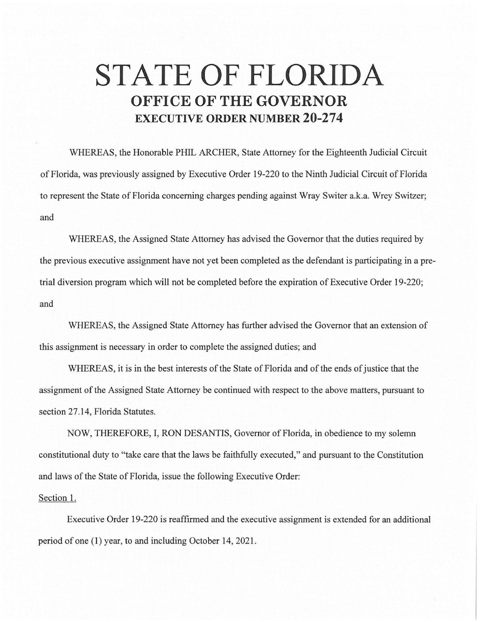## **STATE OF FLORIDA OFFICE OF THE GOVERNOR EXECUTIVE ORDER NUMBER 20-274**

WHEREAS, the Honorable PHIL ARCHER, State Attorney for the Eighteenth Judicial Circuit of Florida, was previously assigned by Executive Order 19-220 to the Ninth Judicial Circuit of Florida to represent the State of Florida concerning charges pending against Wray Switer a.k.a. Wrey Switzer; and

WHEREAS, the Assigned State Attorney has advised the Governor that the duties required by the previous executive assignment have not yet been completed as the defendant is participating in a pretrial diversion program which will not be completed before the expiration of Executive Order 19-220; and

WHEREAS, the Assigned State Attorney has further advised the Governor that an extension of this assignment is necessary in order to complete the assigned duties; and

WHEREAS, it is in the best interests of the State of Florida and of the ends of justice that the assignment of the Assigned State Attorney be continued with respect to the above matters, pursuant to section 27.14, Florida Statutes.

NOW, THEREFORE, I, RON DESANTIS, Governor of Florida, in obedience to my solemn constitutional duty to "take care that the laws be faithfully executed," and pursuant to the Constitution and laws of the State of Florida, issue the following Executive Order:

## Section 1.

Executive Order 19-220 is reaffirmed and the executive assignment is extended for an additional period of one (1) year, to and including October 14, 2021.